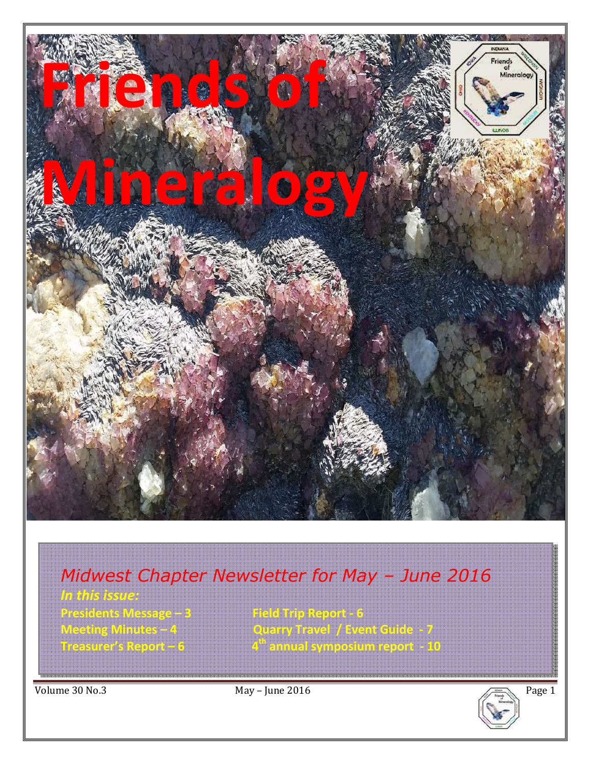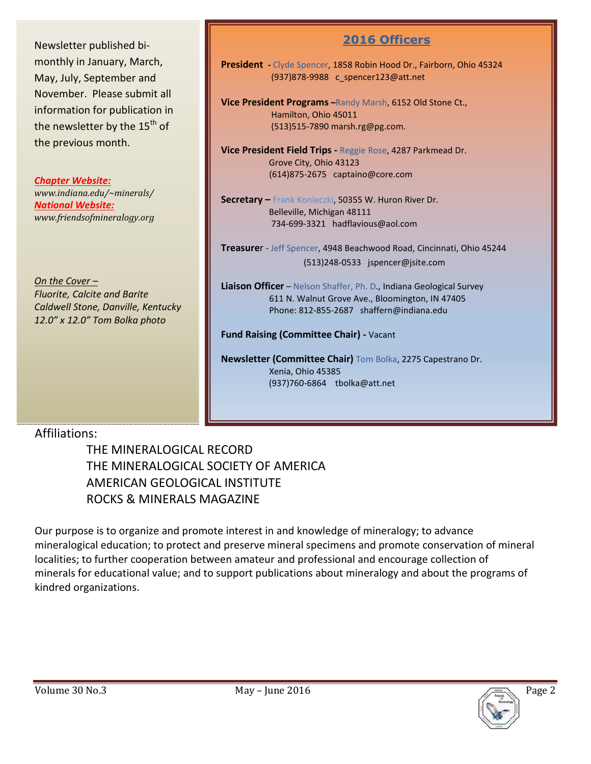Newsletter published bimonthly in January, March, May, July, September and November. Please submit all information for publication in the newsletter by the 15<sup>th</sup> of the previous month.

*Chapter Website: www.indiana.edu/~minerals/ National Website: www.friendsofmineralogy.org* 

*On the Cover – Fluorite, Calcite and Barite Caldwell Stone, Danville, Kentucky 12.0" x 12.0" Tom Bolka photo* 

## **2016 Officers**

**President -** Clyde Spencer, 1858 Robin Hood Dr., Fairborn, Ohio 45324 (937)878-9988 c\_spencer123@att.net

**Vice President Programs –**Randy Marsh, 6152 Old Stone Ct., Hamilton, Ohio 45011 (513)515-7890 marsh.rg@pg.com.

**Vice President Field Trips -** Reggie Rose, 4287 Parkmead Dr. Grove City, Ohio 43123 (614)875-2675 captaino@core.com

**Secretary –** Frank Konieczki, 50355 W. Huron River Dr. Belleville, Michigan 48111 734-699-3321 hadflavious@aol.com

**Treasure**r - Jeff Spencer, 4948 Beachwood Road, Cincinnati, Ohio 45244 (513)248-0533 jspencer@jsite.com

**Liaison Officer** – Nelson Shaffer, Ph. D., Indiana Geological Survey 611 N. Walnut Grove Ave., Bloomington, IN 47405 Phone: 812-855-2687 shaffern@indiana.edu

**Fund Raising (Committee Chair) -** Vacant

**Newsletter (Committee Chair)** Tom Bolka, 2275 Capestrano Dr. Xenia, Ohio 45385 (937)760-6864 tbolka@att.net

## Affiliations:

 THE MINERALOGICAL RECORD THE MINERALOGICAL SOCIETY OF AMERICA AMERICAN GEOLOGICAL INSTITUTE ROCKS & MINERALS MAGAZINE

Our purpose is to organize and promote interest in and knowledge of mineralogy; to advance mineralogical education; to protect and preserve mineral specimens and promote conservation of mineral localities; to further cooperation between amateur and professional and encourage collection of minerals for educational value; and to support publications about mineralogy and about the programs of kindred organizations.

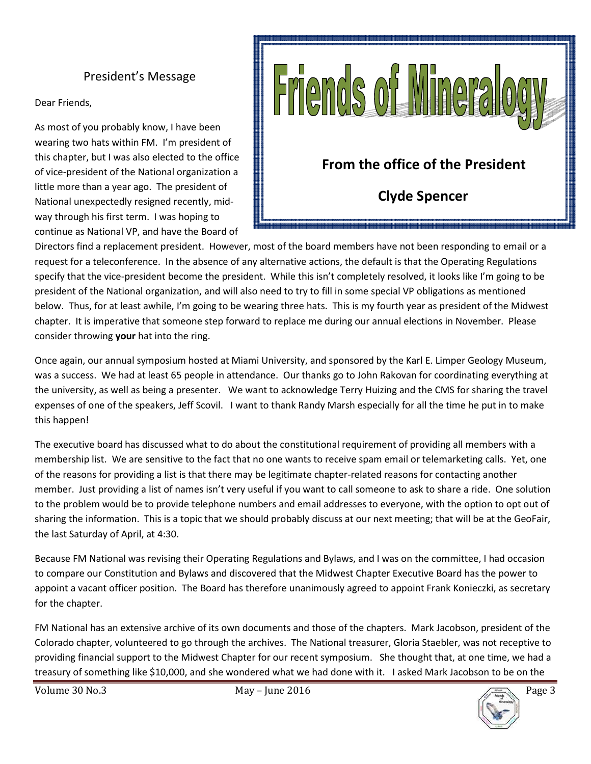## President's Message

Dear Friends,

As most of you probably know, I have been wearing two hats within FM. I'm president of this chapter, but I was also elected to the office of vice-president of the National organization a little more than a year ago. The president of National unexpectedly resigned recently, midway through his first term. I was hoping to continue as National VP, and have the Board of



Directors find a replacement president. However, most of the board members have not been responding to email or a request for a teleconference. In the absence of any alternative actions, the default is that the Operating Regulations specify that the vice-president become the president. While this isn't completely resolved, it looks like I'm going to be president of the National organization, and will also need to try to fill in some special VP obligations as mentioned below. Thus, for at least awhile, I'm going to be wearing three hats. This is my fourth year as president of the Midwest chapter. It is imperative that someone step forward to replace me during our annual elections in November. Please consider throwing **your** hat into the ring.

Once again, our annual symposium hosted at Miami University, and sponsored by the Karl E. Limper Geology Museum, was a success. We had at least 65 people in attendance. Our thanks go to John Rakovan for coordinating everything at the university, as well as being a presenter. We want to acknowledge Terry Huizing and the CMS for sharing the travel expenses of one of the speakers, Jeff Scovil. I want to thank Randy Marsh especially for all the time he put in to make this happen!

The executive board has discussed what to do about the constitutional requirement of providing all members with a membership list. We are sensitive to the fact that no one wants to receive spam email or telemarketing calls. Yet, one of the reasons for providing a list is that there may be legitimate chapter-related reasons for contacting another member. Just providing a list of names isn't very useful if you want to call someone to ask to share a ride. One solution to the problem would be to provide telephone numbers and email addresses to everyone, with the option to opt out of sharing the information. This is a topic that we should probably discuss at our next meeting; that will be at the GeoFair, the last Saturday of April, at 4:30.

Because FM National was revising their Operating Regulations and Bylaws, and I was on the committee, I had occasion to compare our Constitution and Bylaws and discovered that the Midwest Chapter Executive Board has the power to appoint a vacant officer position. The Board has therefore unanimously agreed to appoint Frank Konieczki, as secretary for the chapter.

FM National has an extensive archive of its own documents and those of the chapters. Mark Jacobson, president of the Colorado chapter, volunteered to go through the archives. The National treasurer, Gloria Staebler, was not receptive to providing financial support to the Midwest Chapter for our recent symposium. She thought that, at one time, we had a treasury of something like \$10,000, and she wondered what we had done with it. I asked Mark Jacobson to be on the

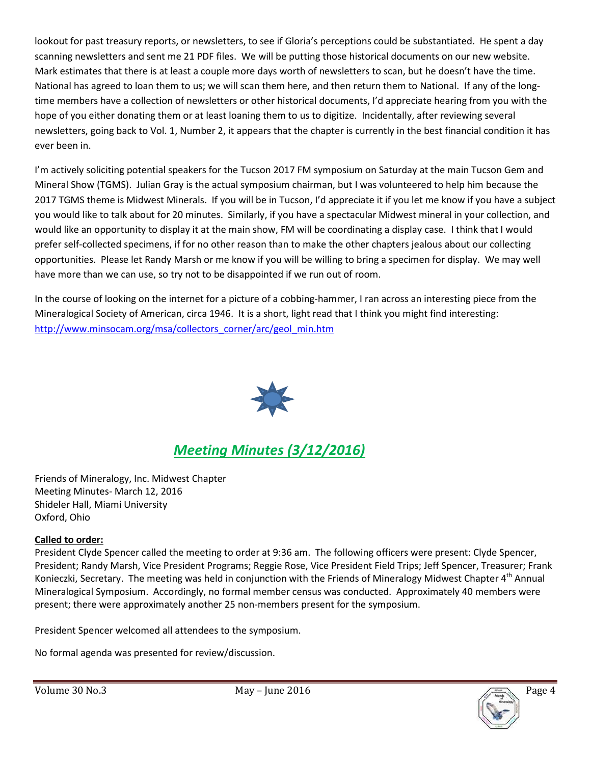lookout for past treasury reports, or newsletters, to see if Gloria's perceptions could be substantiated. He spent a day scanning newsletters and sent me 21 PDF files. We will be putting those historical documents on our new website. Mark estimates that there is at least a couple more days worth of newsletters to scan, but he doesn't have the time. National has agreed to loan them to us; we will scan them here, and then return them to National. If any of the longtime members have a collection of newsletters or other historical documents, I'd appreciate hearing from you with the hope of you either donating them or at least loaning them to us to digitize. Incidentally, after reviewing several newsletters, going back to Vol. 1, Number 2, it appears that the chapter is currently in the best financial condition it has ever been in.

I'm actively soliciting potential speakers for the Tucson 2017 FM symposium on Saturday at the main Tucson Gem and Mineral Show (TGMS). Julian Gray is the actual symposium chairman, but I was volunteered to help him because the 2017 TGMS theme is Midwest Minerals. If you will be in Tucson, I'd appreciate it if you let me know if you have a subject you would like to talk about for 20 minutes. Similarly, if you have a spectacular Midwest mineral in your collection, and would like an opportunity to display it at the main show, FM will be coordinating a display case. I think that I would prefer self-collected specimens, if for no other reason than to make the other chapters jealous about our collecting opportunities. Please let Randy Marsh or me know if you will be willing to bring a specimen for display. We may well have more than we can use, so try not to be disappointed if we run out of room.

In the course of looking on the internet for a picture of a cobbing-hammer, I ran across an interesting piece from the Mineralogical Society of American, circa 1946. It is a short, light read that I think you might find interesting: http://www.minsocam.org/msa/collectors\_corner/arc/geol\_min.htm



# *Meeting Minutes (3/12/2016)*

Friends of Mineralogy, Inc. Midwest Chapter Meeting Minutes- March 12, 2016 Shideler Hall, Miami University Oxford, Ohio

#### **Called to order:**

President Clyde Spencer called the meeting to order at 9:36 am. The following officers were present: Clyde Spencer, President; Randy Marsh, Vice President Programs; Reggie Rose, Vice President Field Trips; Jeff Spencer, Treasurer; Frank Konieczki, Secretary. The meeting was held in conjunction with the Friends of Mineralogy Midwest Chapter 4<sup>th</sup> Annual Mineralogical Symposium. Accordingly, no formal member census was conducted. Approximately 40 members were present; there were approximately another 25 non-members present for the symposium.

President Spencer welcomed all attendees to the symposium.

No formal agenda was presented for review/discussion.

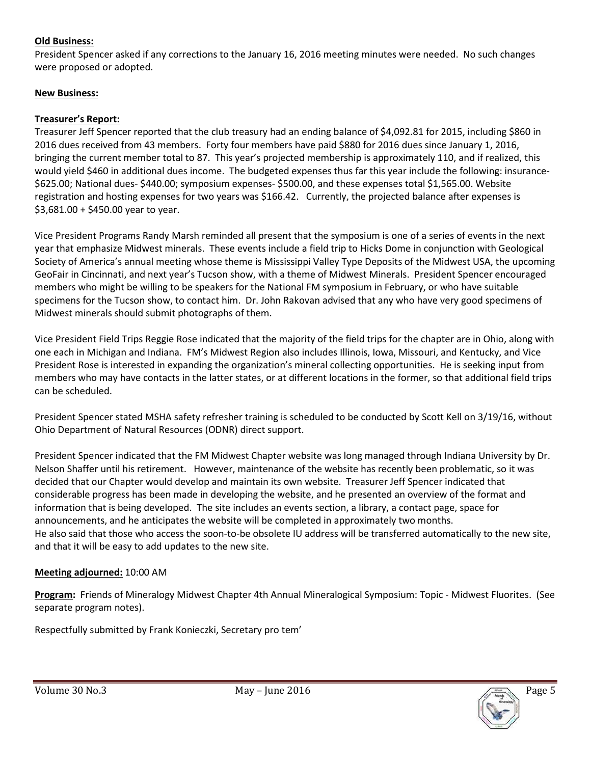#### **Old Business:**

President Spencer asked if any corrections to the January 16, 2016 meeting minutes were needed. No such changes were proposed or adopted.

#### **New Business:**

#### **Treasurer's Report:**

Treasurer Jeff Spencer reported that the club treasury had an ending balance of \$4,092.81 for 2015, including \$860 in 2016 dues received from 43 members. Forty four members have paid \$880 for 2016 dues since January 1, 2016, bringing the current member total to 87. This year's projected membership is approximately 110, and if realized, this would yield \$460 in additional dues income. The budgeted expenses thus far this year include the following: insurance- \$625.00; National dues- \$440.00; symposium expenses- \$500.00, and these expenses total \$1,565.00. Website registration and hosting expenses for two years was \$166.42. Currently, the projected balance after expenses is \$3,681.00 + \$450.00 year to year.

Vice President Programs Randy Marsh reminded all present that the symposium is one of a series of events in the next year that emphasize Midwest minerals. These events include a field trip to Hicks Dome in conjunction with Geological Society of America's annual meeting whose theme is Mississippi Valley Type Deposits of the Midwest USA, the upcoming GeoFair in Cincinnati, and next year's Tucson show, with a theme of Midwest Minerals. President Spencer encouraged members who might be willing to be speakers for the National FM symposium in February, or who have suitable specimens for the Tucson show, to contact him. Dr. John Rakovan advised that any who have very good specimens of Midwest minerals should submit photographs of them.

Vice President Field Trips Reggie Rose indicated that the majority of the field trips for the chapter are in Ohio, along with one each in Michigan and Indiana. FM's Midwest Region also includes Illinois, Iowa, Missouri, and Kentucky, and Vice President Rose is interested in expanding the organization's mineral collecting opportunities. He is seeking input from members who may have contacts in the latter states, or at different locations in the former, so that additional field trips can be scheduled.

President Spencer stated MSHA safety refresher training is scheduled to be conducted by Scott Kell on 3/19/16, without Ohio Department of Natural Resources (ODNR) direct support.

President Spencer indicated that the FM Midwest Chapter website was long managed through Indiana University by Dr. Nelson Shaffer until his retirement. However, maintenance of the website has recently been problematic, so it was decided that our Chapter would develop and maintain its own website. Treasurer Jeff Spencer indicated that considerable progress has been made in developing the website, and he presented an overview of the format and information that is being developed. The site includes an events section, a library, a contact page, space for announcements, and he anticipates the website will be completed in approximately two months. He also said that those who access the soon-to-be obsolete IU address will be transferred automatically to the new site, and that it will be easy to add updates to the new site.

#### **Meeting adjourned:** 10:00 AM

**Program:** Friends of Mineralogy Midwest Chapter 4th Annual Mineralogical Symposium: Topic - Midwest Fluorites. (See separate program notes).

Respectfully submitted by Frank Konieczki, Secretary pro tem'

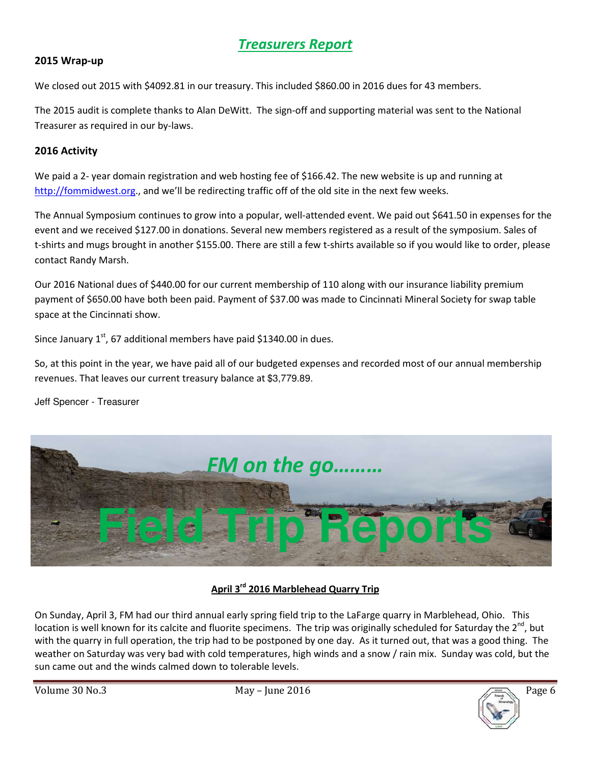## *Treasurers Report*

#### **2015 Wrap-up**

We closed out 2015 with \$4092.81 in our treasury. This included \$860.00 in 2016 dues for 43 members.

The 2015 audit is complete thanks to Alan DeWitt. The sign-off and supporting material was sent to the National Treasurer as required in our by-laws.

#### **2016 Activity**

We paid a 2- year domain registration and web hosting fee of \$166.42. The new website is up and running at http://fommidwest.org., and we'll be redirecting traffic off of the old site in the next few weeks.

The Annual Symposium continues to grow into a popular, well-attended event. We paid out \$641.50 in expenses for the event and we received \$127.00 in donations. Several new members registered as a result of the symposium. Sales of t-shirts and mugs brought in another \$155.00. There are still a few t-shirts available so if you would like to order, please contact Randy Marsh.

Our 2016 National dues of \$440.00 for our current membership of 110 along with our insurance liability premium payment of \$650.00 have both been paid. Payment of \$37.00 was made to Cincinnati Mineral Society for swap table space at the Cincinnati show.

Since January  $1^{st}$ , 67 additional members have paid \$1340.00 in dues.

So, at this point in the year, we have paid all of our budgeted expenses and recorded most of our annual membership revenues. That leaves our current treasury balance at \$3,779.89.

Jeff Spencer - Treasurer



#### **April 3rd 2016 Marblehead Quarry Trip**

On Sunday, April 3, FM had our third annual early spring field trip to the LaFarge quarry in Marblehead, Ohio. This location is well known for its calcite and fluorite specimens. The trip was originally scheduled for Saturday the  $2^{nd}$ , but with the quarry in full operation, the trip had to be postponed by one day. As it turned out, that was a good thing. The weather on Saturday was very bad with cold temperatures, high winds and a snow / rain mix. Sunday was cold, but the sun came out and the winds calmed down to tolerable levels.

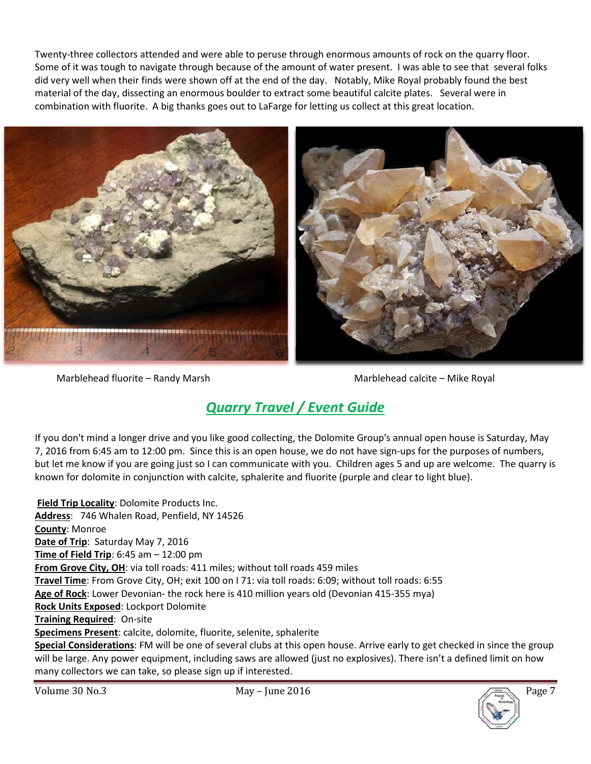Twenty-three collectors attended and were able to peruse through enormous amounts of rock on the quarry floor. Some of it was tough to navigate through because of the amount of water present. I was able to see that several folks did very well when their finds were shown off at the end of the day. Notably, Mike Royal probably found the best material of the day, dissecting an enormous boulder to extract some beautiful calcite plates. Several were in combination with fluorite. A big thanks goes out to LaFarge for letting us collect at this great location.



Marblehead fluorite – Randy Marsh Marblehead calcite – Mike Royal

# *Quarry Travel / Event Guide*

If you don't mind a longer drive and you like good collecting, the Dolomite Group's annual open house is Saturday, May 7, 2016 from 6:45 am to 12:00 pm. Since this is an open house, we do not have sign-ups for the purposes of numbers, but let me know if you are going just so I can communicate with you. Children ages 5 and up are welcome. The quarry is known for dolomite in conjunction with calcite, sphalerite and fluorite (purple and clear to light blue).

**Field Trip Locality**: Dolomite Products Inc. **Address**: 746 Whalen Road, Penfield, NY 14526 **County**: Monroe **Date of Trip**: Saturday May 7, 2016 **Time of Field Trip**: 6:45 am – 12:00 pm **From Grove City, OH**: via toll roads: 411 miles; without toll roads 459 miles **Travel Time**: From Grove City, OH; exit 100 on I 71: via toll roads: 6:09; without toll roads: 6:55 **Age of Rock**: Lower Devonian- the rock here is 410 million years old (Devonian 415-355 mya) **Rock Units Exposed**: Lockport Dolomite **Training Required**: On-site **Specimens Present**: calcite, dolomite, fluorite, selenite, sphalerite **Special Considerations**: FM will be one of several clubs at this open house. Arrive early to get checked in since the group will be large. Any power equipment, including saws are allowed (just no explosives). There isn't a defined limit on how

many collectors we can take, so please sign up if interested.

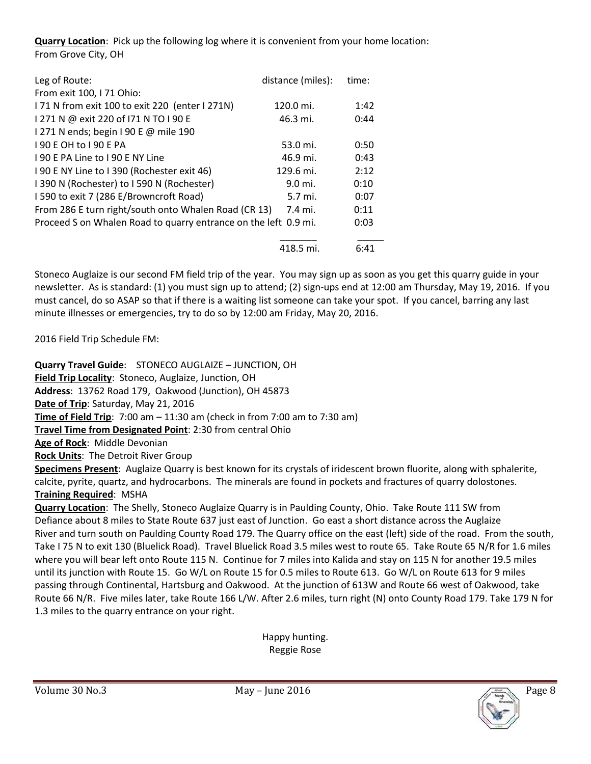**Quarry Location**: Pick up the following log where it is convenient from your home location: From Grove City, OH

| Leg of Route:                                                   | distance (miles): | time: |
|-----------------------------------------------------------------|-------------------|-------|
| From exit 100, I 71 Ohio:                                       |                   |       |
| 171 N from exit 100 to exit 220 (enter 1271N)                   | 120.0 mi.         | 1:42  |
| 1271 N @ exit 220 of 171 N TO I 90 E                            | 46.3 mi.          | 0:44  |
| 1271 N ends; begin 190 E @ mile 190                             |                   |       |
| 190 F OH to 190 F PA                                            | 53.0 mi.          | 0:50  |
| 190 E PA Line to 190 E NY Line                                  | 46.9 mi.          | 0:43  |
| I 90 E NY Line to I 390 (Rochester exit 46)                     | 129.6 mi.         | 2:12  |
| 1390 N (Rochester) to 1590 N (Rochester)                        | 9.0 mi.           | 0:10  |
| 1590 to exit 7 (286 E/Browncroft Road)                          | 5.7 mi.           | 0:07  |
| From 286 E turn right/south onto Whalen Road (CR 13)<br>7.4 mi. |                   | 0:11  |
| Proceed S on Whalen Road to quarry entrance on the left 0.9 mi. |                   | 0:03  |
|                                                                 |                   |       |
|                                                                 | 418.5 mi.         | 6:41  |

Stoneco Auglaize is our second FM field trip of the year. You may sign up as soon as you get this quarry guide in your newsletter. As is standard: (1) you must sign up to attend; (2) sign-ups end at 12:00 am Thursday, May 19, 2016. If you must cancel, do so ASAP so that if there is a waiting list someone can take your spot. If you cancel, barring any last minute illnesses or emergencies, try to do so by 12:00 am Friday, May 20, 2016.

2016 Field Trip Schedule FM:

**Quarry Travel Guide**: STONECO AUGLAIZE – JUNCTION, OH **Field Trip Locality**: Stoneco, Auglaize, Junction, OH **Address**: 13762 Road 179, Oakwood (Junction), OH 45873 **Date of Trip**: Saturday, May 21, 2016 **Time of Field Trip**: 7:00 am – 11:30 am (check in from 7:00 am to 7:30 am) **Travel Time from Designated Point**: 2:30 from central Ohio **Age of Rock**: Middle Devonian **Rock Units**: The Detroit River Group **Specimens Present**: Auglaize Quarry is best known for its crystals of iridescent brown fluorite, along with sphalerite, calcite, pyrite, quartz, and hydrocarbons. The minerals are found in pockets and fractures of quarry dolostones. **Training Required**: MSHA

**Quarry Location**: The Shelly, Stoneco Auglaize Quarry is in Paulding County, Ohio. Take Route 111 SW from Defiance about 8 miles to State Route 637 just east of Junction. Go east a short distance across the Auglaize River and turn south on Paulding County Road 179. The Quarry office on the east (left) side of the road. From the south, Take I 75 N to exit 130 (Bluelick Road). Travel Bluelick Road 3.5 miles west to route 65. Take Route 65 N/R for 1.6 miles where you will bear left onto Route 115 N. Continue for 7 miles into Kalida and stay on 115 N for another 19.5 miles until its junction with Route 15. Go W/L on Route 15 for 0.5 miles to Route 613. Go W/L on Route 613 for 9 miles passing through Continental, Hartsburg and Oakwood. At the junction of 613W and Route 66 west of Oakwood, take Route 66 N/R. Five miles later, take Route 166 L/W. After 2.6 miles, turn right (N) onto County Road 179. Take 179 N for 1.3 miles to the quarry entrance on your right.

> Happy hunting. Reggie Rose

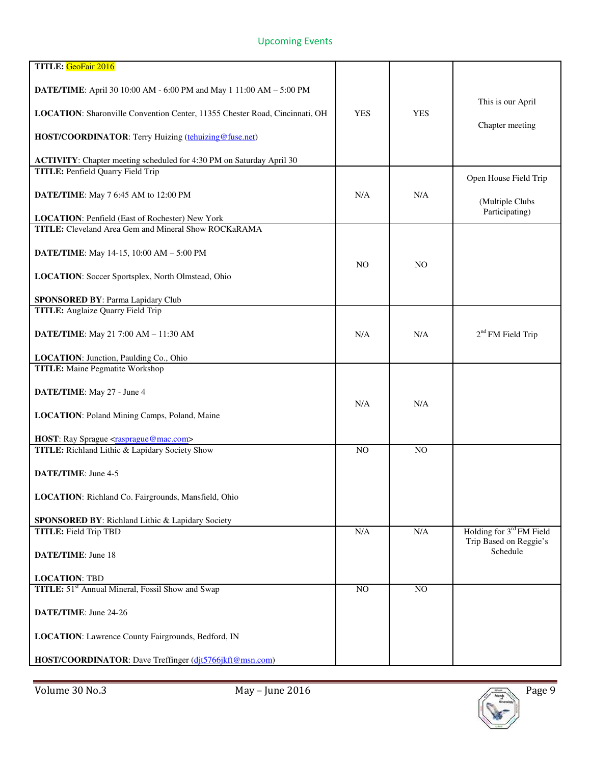### Upcoming Events

| TITLE: GeoFair 2016                                                         |                |                |                                    |
|-----------------------------------------------------------------------------|----------------|----------------|------------------------------------|
| DATE/TIME: April 30 10:00 AM - 6:00 PM and May 1 11:00 AM - 5:00 PM         |                |                | This is our April                  |
| LOCATION: Sharonville Convention Center, 11355 Chester Road, Cincinnati, OH | <b>YES</b>     | <b>YES</b>     | Chapter meeting                    |
| HOST/COORDINATOR: Terry Huizing (tehuizing@fuse.net)                        |                |                |                                    |
| ACTIVITY: Chapter meeting scheduled for 4:30 PM on Saturday April 30        |                |                |                                    |
| <b>TITLE:</b> Penfield Quarry Field Trip                                    |                |                | Open House Field Trip              |
| DATE/TIME: May 7 6:45 AM to 12:00 PM                                        | N/A            | N/A            | (Multiple Clubs<br>Participating)  |
| LOCATION: Penfield (East of Rochester) New York                             |                |                |                                    |
| <b>TITLE:</b> Cleveland Area Gem and Mineral Show ROCKaRAMA                 |                |                |                                    |
| DATE/TIME: May 14-15, 10:00 AM - 5:00 PM                                    | N <sub>O</sub> | N <sub>O</sub> |                                    |
| LOCATION: Soccer Sportsplex, North Olmstead, Ohio                           |                |                |                                    |
| SPONSORED BY: Parma Lapidary Club                                           |                |                |                                    |
| <b>TITLE:</b> Auglaize Quarry Field Trip                                    |                |                |                                    |
| DATE/TIME: May 21 7:00 AM - 11:30 AM                                        | N/A            | N/A            | $2nd FM$ Field Trip                |
| LOCATION: Junction, Paulding Co., Ohio                                      |                |                |                                    |
| <b>TITLE:</b> Maine Pegmatite Workshop                                      |                |                |                                    |
| DATE/TIME: May 27 - June 4                                                  | N/A            | N/A            |                                    |
| LOCATION: Poland Mining Camps, Poland, Maine                                |                |                |                                    |
| HOST: Ray Sprague <rasprague@mac.com></rasprague@mac.com>                   |                |                |                                    |
| TITLE: Richland Lithic & Lapidary Society Show                              | NO             | N <sub>O</sub> |                                    |
| DATE/TIME: June 4-5                                                         |                |                |                                    |
| LOCATION: Richland Co. Fairgrounds, Mansfield, Ohio                         |                |                |                                    |
| SPONSORED BY: Richland Lithic & Lapidary Society                            |                |                |                                    |
| <b>TITLE:</b> Field Trip TBD                                                | N/A            | N/A            | Holding for 3rd FM Field           |
| <b>DATE/TIME:</b> June 18                                                   |                |                | Trip Based on Reggie's<br>Schedule |
| <b>LOCATION: TBD</b>                                                        |                |                |                                    |
| TITLE: 51 <sup>st</sup> Annual Mineral, Fossil Show and Swap                | N <sub>O</sub> | NO             |                                    |
| DATE/TIME: June 24-26                                                       |                |                |                                    |
| LOCATION: Lawrence County Fairgrounds, Bedford, IN                          |                |                |                                    |
| HOST/COORDINATOR: Dave Treffinger (djt5766jkft@msn.com)                     |                |                |                                    |

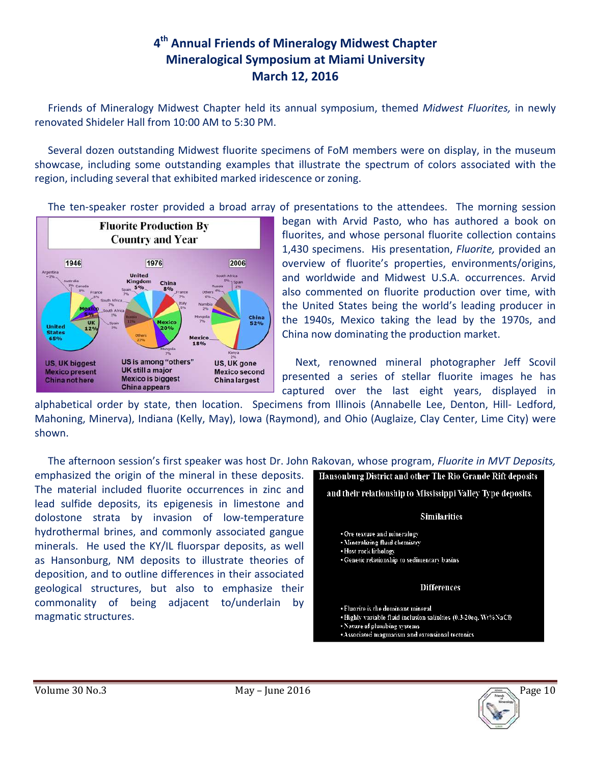## **4 th Annual Friends of Mineralogy Midwest Chapter Mineralogical Symposium at Miami University March 12, 2016**

 Friends of Mineralogy Midwest Chapter held its annual symposium, themed *Midwest Fluorites,* in newly renovated Shideler Hall from 10:00 AM to 5:30 PM.

 Several dozen outstanding Midwest fluorite specimens of FoM members were on display, in the museum showcase, including some outstanding examples that illustrate the spectrum of colors associated with the region, including several that exhibited marked iridescence or zoning.

The ten-speaker roster provided a broad array of presentations to the attendees. The morning session



began with Arvid Pasto, who has authored a book on fluorites, and whose personal fluorite collection contains 1,430 specimens. His presentation, *Fluorite,* provided an overview of fluorite's properties, environments/origins, and worldwide and Midwest U.S.A. occurrences. Arvid also commented on fluorite production over time, with the United States being the world's leading producer in the 1940s, Mexico taking the lead by the 1970s, and China now dominating the production market.

 Next, renowned mineral photographer Jeff Scovil presented a series of stellar fluorite images he has captured over the last eight years, displayed in

alphabetical order by state, then location. Specimens from Illinois (Annabelle Lee, Denton, Hill- Ledford, Mahoning, Minerva), Indiana (Kelly, May), Iowa (Raymond), and Ohio (Auglaize, Clay Center, Lime City) were shown.

The afternoon session's first speaker was host Dr. John Rakovan, whose program, *Fluorite in MVT Deposits,*

emphasized the origin of the mineral in these deposits. The material included fluorite occurrences in zinc and lead sulfide deposits, its epigenesis in limestone and dolostone strata by invasion of low-temperature hydrothermal brines, and commonly associated gangue minerals. He used the KY/IL fluorspar deposits, as well as Hansonburg, NM deposits to illustrate theories of deposition, and to outline differences in their associated geological structures, but also to emphasize their commonality of being adjacent to/underlain by magmatic structures.



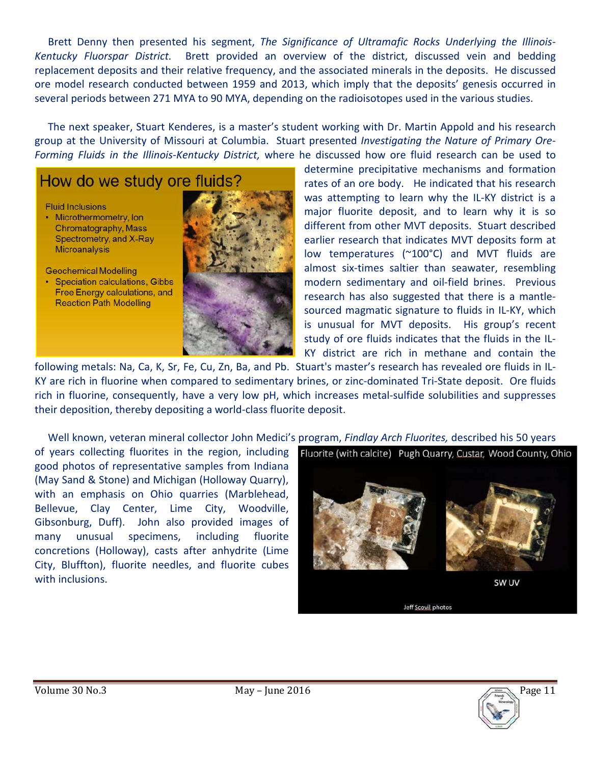Brett Denny then presented his segment, *The Significance of Ultramafic Rocks Underlying the Illinois-Kentucky Fluorspar District.* Brett provided an overview of the district, discussed vein and bedding replacement deposits and their relative frequency, and the associated minerals in the deposits. He discussed ore model research conducted between 1959 and 2013, which imply that the deposits' genesis occurred in several periods between 271 MYA to 90 MYA, depending on the radioisotopes used in the various studies.

 The next speaker, Stuart Kenderes, is a master's student working with Dr. Martin Appold and his research group at the University of Missouri at Columbia. Stuart presented *Investigating the Nature of Primary Ore-Forming Fluids in the Illinois-Kentucky District,* where he discussed how ore fluid research can be used to

# How do we study ore fluids?

**Fluid Inclusions** 

• Microthermometry, Ion Chromatography, Mass Spectrometry, and X-Ray **Microanalysis** 

**Geochemical Modelling** 

• Speciation calculations, Gibbs Free Energy calculations, and **Reaction Path Modelling** 



determine precipitative mechanisms and formation rates of an ore body. He indicated that his research was attempting to learn why the IL-KY district is a major fluorite deposit, and to learn why it is so different from other MVT deposits. Stuart described earlier research that indicates MVT deposits form at low temperatures (~100°C) and MVT fluids are almost six-times saltier than seawater, resembling modern sedimentary and oil-field brines. Previous research has also suggested that there is a mantlesourced magmatic signature to fluids in IL-KY, which is unusual for MVT deposits. His group's recent study of ore fluids indicates that the fluids in the IL-KY district are rich in methane and contain the

following metals: Na, Ca, K, Sr, Fe, Cu, Zn, Ba, and Pb. Stuart's master's research has revealed ore fluids in IL-KY are rich in fluorine when compared to sedimentary brines, or zinc-dominated Tri-State deposit. Ore fluids rich in fluorine, consequently, have a very low pH, which increases metal-sulfide solubilities and suppresses their deposition, thereby depositing a world-class fluorite deposit.

 Well known, veteran mineral collector John Medici's program, *Findlay Arch Fluorites,* described his 50 years of years collecting fluorites in the region, including good photos of representative samples from Indiana (May Sand & Stone) and Michigan (Holloway Quarry), with an emphasis on Ohio quarries (Marblehead, Bellevue, Clay Center, Lime City, Woodville, Gibsonburg, Duff). John also provided images of many unusual specimens, including fluorite concretions (Holloway), casts after anhydrite (Lime City, Bluffton), fluorite needles, and fluorite cubes with inclusions.

Fluorite (with calcite) Pugh Quarry, Custar, Wood County, Ohio





SW UV

Jeff Scovil photos

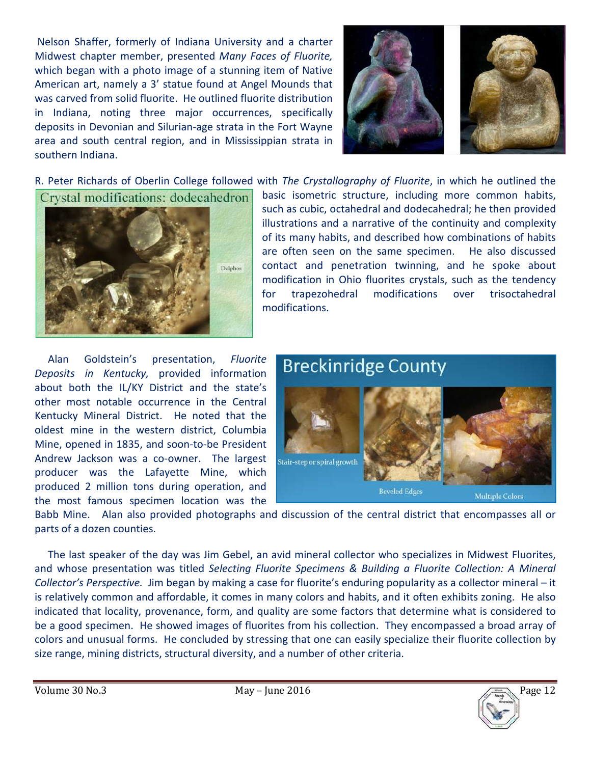Nelson Shaffer, formerly of Indiana University and a charter Midwest chapter member, presented *Many Faces of Fluorite,* which began with a photo image of a stunning item of Native American art, namely a 3' statue found at Angel Mounds that was carved from solid fluorite. He outlined fluorite distribution in Indiana, noting three major occurrences, specifically deposits in Devonian and Silurian-age strata in the Fort Wayne area and south central region, and in Mississippian strata in southern Indiana.



R. Peter Richards of Oberlin College followed with *The Crystallography of Fluorite*, in which he outlined the

Crystal modifications: dodecahedron



basic isometric structure, including more common habits, such as cubic, octahedral and dodecahedral; he then provided illustrations and a narrative of the continuity and complexity of its many habits, and described how combinations of habits are often seen on the same specimen. He also discussed contact and penetration twinning, and he spoke about modification in Ohio fluorites crystals, such as the tendency for trapezohedral modifications over trisoctahedral modifications.

 Alan Goldstein's presentation, *Fluorite Deposits in Kentucky,* provided information about both the IL/KY District and the state's other most notable occurrence in the Central Kentucky Mineral District. He noted that the oldest mine in the western district, Columbia Mine, opened in 1835, and soon-to-be President Andrew Jackson was a co-owner. The largest producer was the Lafayette Mine, which produced 2 million tons during operation, and the most famous specimen location was the



Babb Mine. Alan also provided photographs and discussion of the central district that encompasses all or parts of a dozen counties.

 The last speaker of the day was Jim Gebel, an avid mineral collector who specializes in Midwest Fluorites, and whose presentation was titled *Selecting Fluorite Specimens & Building a Fluorite Collection: A Mineral Collector's Perspective.* Jim began by making a case for fluorite's enduring popularity as a collector mineral – it is relatively common and affordable, it comes in many colors and habits, and it often exhibits zoning. He also indicated that locality, provenance, form, and quality are some factors that determine what is considered to be a good specimen. He showed images of fluorites from his collection. They encompassed a broad array of colors and unusual forms. He concluded by stressing that one can easily specialize their fluorite collection by size range, mining districts, structural diversity, and a number of other criteria.